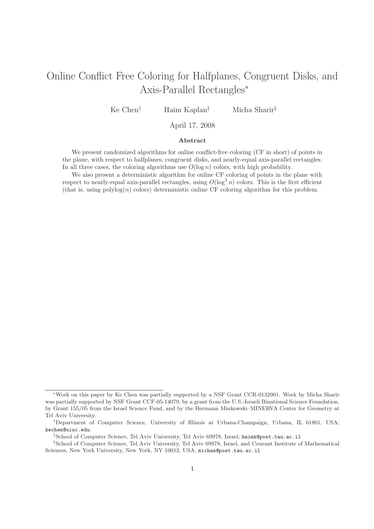# Online Conflict Free Coloring for Halfplanes, Congruent Disks, and Axis-Parallel Rectangles<sup>∗</sup>

Ke Chen<sup>†</sup> Haim Kaplan<sup>‡</sup> Micha Sharir<sup>§</sup>

#### April 17, 2008

#### Abstract

We present randomized algorithms for online conflict-free coloring (CF in short) of points in the plane, with respect to halfplanes, congruent disks, and nearly-equal axis-parallel rectangles. In all three cases, the coloring algorithms use  $O(\log n)$  colors, with high probability.

We also present a deterministic algorithm for online CF coloring of points in the plane with respect to nearly-equal axis-parallel rectangles, using  $O(\log^3 n)$  colors. This is the first efficient (that is, using  $polylog(n)$  colors) deterministic online CF coloring algorithm for this problem.

<sup>∗</sup>Work on this paper by Ke Chen was partially supported by a NSF Grant CCR-0132901. Work by Micha Sharir was partially supported by NSF Grant CCF-05-14079, by a grant from the U.S.-Israeli Binational Science Foundation, by Grant 155/05 from the Israel Science Fund, and by the Hermann Minkowski–MINERVA Center for Geometry at Tel Aviv University.

<sup>†</sup>Department of Computer Science, University of Illinois at Urbana-Champaign, Urbana, IL 61801, USA; kechen@uiuc.edu.

<sup>‡</sup>School of Computer Science, Tel Aviv University, Tel Aviv 69978, Israel; haimk@post.tau.ac.il

<sup>§</sup>School of Computer Science, Tel Aviv University, Tel Aviv 69978, Israel, and Courant Institute of Mathematical Sciences, New York University, New York, NY 10012, USA; michas@post.tau.ac.il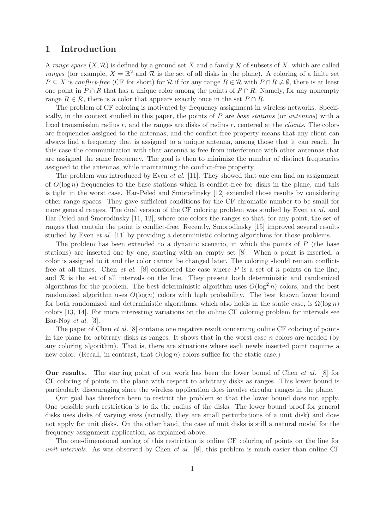#### 1 Introduction

A range space  $(X, \mathcal{R})$  is defined by a ground set X and a family R of subsets of X, which are called ranges (for example,  $X = \mathbb{R}^2$  and  $\mathcal R$  is the set of all disks in the plane). A coloring of a finite set  $P \subseteq X$  is conflict-free (CF for short) for R if for any range  $R \in \mathcal{R}$  with  $P \cap R \neq \emptyset$ , there is at least one point in  $P \cap R$  that has a unique color among the points of  $P \cap R$ . Namely, for any nonempty range  $R \in \mathcal{R}$ , there is a color that appears exactly once in the set  $P \cap R$ .

The problem of CF coloring is motivated by frequency assignment in wireless networks. Specifically, in the context studied in this paper, the points of P are base stations (or antennas) with a fixed transmission radius  $r$ , and the ranges are disks of radius  $r$ , centered at the *clients*. The colors are frequencies assigned to the antennas, and the conflict-free property means that any client can always find a frequency that is assigned to a unique antenna, among those that it can reach. In this case the communication with that antenna is free from interference with other antennas that are assigned the same frequency. The goal is then to minimize the number of distinct frequencies assigned to the antennas, while maintaining the conflict-free property.

The problem was introduced by Even *et al.* [11]. They showed that one can find an assignment of  $O(\log n)$  frequencies to the base stations which is conflict-free for disks in the plane, and this is tight in the worst case. Har-Peled and Smorodinsky [12] extended those results by considering other range spaces. They gave sufficient conditions for the CF chromatic number to be small for more general ranges. The dual version of the CF coloring problem was studied by Even *et al.* and Har-Peled and Smorodinsky [11, 12], where one colors the ranges so that, for any point, the set of ranges that contain the point is conflict-free. Recently, Smorodinsky [15] improved several results studied by Even *et al.* [11] by providing a deterministic coloring algorithms for those problems.

The problem has been extended to a dynamic scenario, in which the points of  $P$  (the base stations) are inserted one by one, starting with an empty set [8]. When a point is inserted, a color is assigned to it and the color cannot be changed later. The coloring should remain conflictfree at all times. Chen *et al.* [8] considered the case where P is a set of n points on the line, and  $R$  is the set of all intervals on the line. They present both deterministic and randomized algorithms for the problem. The best deterministic algorithm uses  $O(\log^2 n)$  colors, and the best randomized algorithm uses  $O(\log n)$  colors with high probability. The best known lower bound for both randomized and deterministic algorithms, which also holds in the static case, is  $\Omega(\log n)$ colors [13, 14]. For more interesting variations on the online CF coloring problem for intervals see Bar-Noy et al. [3].

The paper of Chen *et al.* [8] contains one negative result concerning online CF coloring of points in the plane for arbitrary disks as ranges. It shows that in the worst case  $n$  colors are needed (by any coloring algorithm). That is, there are situations where each newly inserted point requires a new color. (Recall, in contrast, that  $O(\log n)$  colors suffice for the static case.)

Our results. The starting point of our work has been the lower bound of Chen et al. [8] for CF coloring of points in the plane with respect to arbitrary disks as ranges. This lower bound is particularly discouraging since the wireless application does involve circular ranges in the plane.

Our goal has therefore been to restrict the problem so that the lower bound does not apply. One possible such restriction is to fix the radius of the disks. The lower bound proof for general disks uses disks of varying sizes (actually, they are small perturbations of a unit disk) and does not apply for unit disks. On the other hand, the case of unit disks is still a natural model for the frequency assignment application, as explained above.

The one-dimensional analog of this restriction is online CF coloring of points on the line for unit intervals. As was observed by Chen et al. [8], this problem is much easier than online CF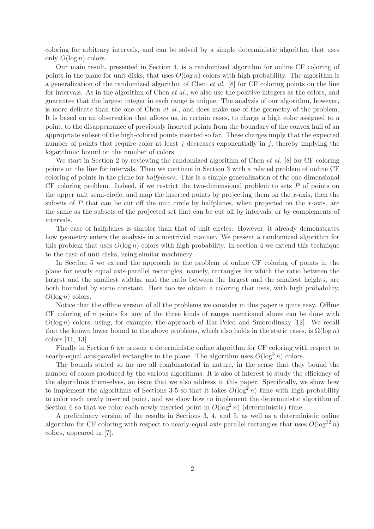coloring for arbitrary intervals, and can be solved by a simple deterministic algorithm that uses only  $O(\log n)$  colors.

Our main result, presented in Section 4, is a randomized algorithm for online CF coloring of points in the plane for unit disks, that uses  $O(\log n)$  colors with high probability. The algorithm is a generalization of the randomized algorithm of Chen *et al.* [8] for CF coloring points on the line for intervals. As in the algorithm of Chen *et al.*, we also use the positive integers as the colors, and guarantee that the largest integer in each range is unique. The analysis of our algorithm, however, is more delicate than the one of Chen  $et al.,$  and does make use of the geometry of the problem. It is based on an observation that allows us, in certain cases, to charge a high color assigned to a point, to the disappearance of previously inserted points from the boundary of the convex hull of an appropriate subset of the high-colored points inserted so far. These charges imply that the expected number of points that require color at least j decreases exponentially in j, thereby implying the logarithmic bound on the number of colors.

We start in Section 2 by reviewing the randomized algorithm of Chen *et al.* [8] for CF coloring points on the line for intervals. Then we continue in Section 3 with a related problem of online CF coloring of points in the plane for halfplanes. This is a simple generalization of the one-dimensional CF coloring problem. Indeed, if we restrict the two-dimensional problem to sets  $P$  of points on the upper unit semi-circle, and map the inserted points by projecting them on the  $x$ -axis, then the subsets of  $P$  that can be cut off the unit circle by halfplanes, when projected on the  $x$ -axis, are the same as the subsets of the projected set that can be cut off by intervals, or by complements of intervals.

The case of halfplanes is simpler than that of unit circles. However, it already demonstrates how geometry enters the analysis in a nontrivial manner. We present a randomized algorithm for this problem that uses  $O(\log n)$  colors with high probability. In section 4 we extend this technique to the case of unit disks, using similar machinery.

In Section 5 we extend the approach to the problem of online CF coloring of points in the plane for nearly equal axis-parallel rectangles, namely, rectangles for which the ratio between the largest and the smallest widths, and the ratio between the largest and the smallest heights, are both bounded by some constant. Here too we obtain a coloring that uses, with high probability,  $O(\log n)$  colors.

Notice that the offline version of all the problems we consider in this paper is quite easy. Offline  $CF$  coloring of n points for any of the three kinds of ranges mentioned above can be done with  $O(\log n)$  colors, using, for example, the approach of Har-Peled and Smorodinsky [12]. We recall that the known lower bound to the above problems, which also holds in the static cases, is  $\Omega(\log n)$ colors [11, 13].

Finally in Section 6 we present a deterministic online algorithm for CF coloring with respect to nearly-equal axis-parallel rectangles in the plane. The algorithm uses  $O(\log^3 n)$  colors.

The bounds stated so far are all combinatorial in nature, in the sense that they bound the number of colors produced by the various algorithms. It is also of interest to study the efficiency of the algorithms themselves, an issue that we also address in this paper. Specifically, we show how to implement the algorithms of Sections 3-5 so that it takes  $O(\log^2 n)$  time with high probability to color each newly inserted point, and we show how to implement the deterministic algorithm of Section 6 so that we color each newly inserted point in  $O(\log^2 n)$  (deterministic) time.

A preliminary version of the results in Sections 3, 4, and 5, as well as a deterministic online algorithm for CF coloring with respect to nearly-equal axis-parallel rectangles that uses  $O(\log^{12} n)$ colors, appeared in [7].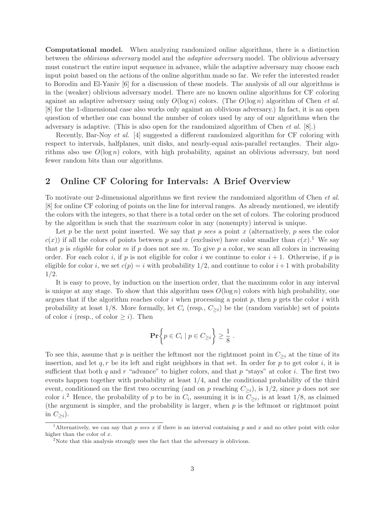Computational model. When analyzing randomized online algorithms, there is a distinction between the oblivious adversary model and the adaptive adversary model. The oblivious adversary must construct the entire input sequence in advance, while the adaptive adversary may choose each input point based on the actions of the online algorithm made so far. We refer the interested reader to Borodin and El-Yaniv [6] for a discussion of these models. The analysis of all our algorithms is in the (weaker) oblivious adversary model. There are no known online algorithms for CF coloring against an adaptive adversary using only  $O(\log n)$  colors. (The  $O(\log n)$  algorithm of Chen et al. [8] for the 1-dimensional case also works only against an oblivious adversary.) In fact, it is an open question of whether one can bound the number of colors used by any of our algorithms when the adversary is adaptive. (This is also open for the randomized algorithm of Chen et al. [8].)

Recently, Bar-Noy et al. [4] suggested a different randomized algorithm for CF coloring with respect to intervals, halfplanes, unit disks, and nearly-equal axis-parallel rectangles. Their algorithms also use  $O(\log n)$  colors, with high probability, against an oblivious adversary, but need fewer random bits than our algorithms.

## 2 Online CF Coloring for Intervals: A Brief Overview

To motivate our 2-dimensional algorithms we first review the randomized algorithm of Chen et al. [8] for online CF coloring of points on the line for interval ranges. As already mentioned, we identify the colors with the integers, so that there is a total order on the set of colors. The coloring produced by the algorithm is such that the maximum color in any (nonempty) interval is unique.

Let p be the next point inserted. We say that p sees a point x (alternatively, p sees the color  $c(x)$  if all the colors of points between p and x (exclusive) have color smaller than  $c(x)$ .<sup>1</sup> We say that p is *eligible* for color m if p does not see m. To give p a color, we scan all colors in increasing order. For each color i, if p is not eligible for color i we continue to color  $i + 1$ . Otherwise, if p is eligible for color i, we set  $c(p) = i$  with probability 1/2, and continue to color  $i+1$  with probability 1/2.

It is easy to prove, by induction on the insertion order, that the maximum color in any interval is unique at any stage. To show that this algorithm uses  $O(\log n)$  colors with high probability, one argues that if the algorithm reaches color  $i$  when processing a point  $p$ , then  $p$  gets the color  $i$  with probability at least  $1/8$ . More formally, let  $C_i$  (resp.,  $C_{\geq i}$ ) be the (random variable) set of points of color i (resp., of color  $\geq i$ ). Then

$$
\mathbf{Pr}\bigg\{p\in C_i\mid p\in C_{\geq i}\bigg\}\geq \frac{1}{8}.
$$

To see this, assume that p is neither the leftmost nor the rightmost point in  $C_{\geq i}$  at the time of its insertion, and let  $q, r$  be its left and right neighbors in that set. In order for p to get color i, it is sufficient that both q and r "advance" to higher colors, and that  $p$  "stays" at color i. The first two events happen together with probability at least  $1/4$ , and the conditional probability of the third event, conditioned on the first two occurring (and on p reaching  $C_{\geq i}$ ), is 1/2, since p does not see color i.<sup>2</sup> Hence, the probability of p to be in  $C_i$ , assuming it is in  $C_{\geq i}$ , is at least 1/8, as claimed (the argument is simpler, and the probability is larger, when  $p$  is the leftmost or rightmost point in  $C_{\geq i}$ ).

<sup>&</sup>lt;sup>1</sup>Alternatively, we can say that p sees x if there is an interval containing p and x and no other point with color higher than the color of  $x$ .

<sup>&</sup>lt;sup>2</sup>Note that this analysis strongly uses the fact that the adversary is oblivious.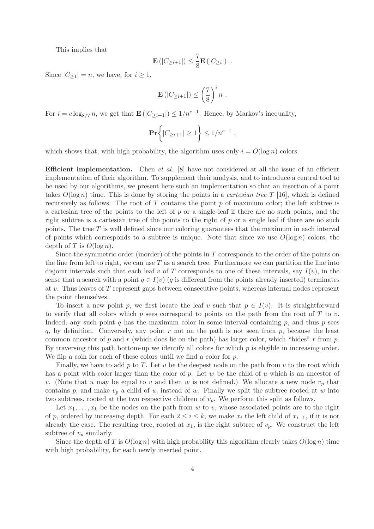This implies that

$$
\mathbf{E}(|C_{\geq i+1}|) \leq \frac{7}{8} \mathbf{E}(|C_{\geq i}|) .
$$

Since  $|C_{\geq 1}| = n$ , we have, for  $i \geq 1$ ,

$$
\mathbf{E}(|C_{\geq i+1}|) \leq \left(\frac{7}{8}\right)^{i} n .
$$

For  $i = c \log_{8/7} n$ , we get that  $\mathbf{E}(|C_{\geq i+1}|) \leq 1/n^{c-1}$ . Hence, by Markov's inequality,

$$
\Pr\bigg\{|C_{\geq i+1}| \geq 1\bigg\} \leq 1/n^{c-1} ,
$$

which shows that, with high probability, the algorithm uses only  $i = O(\log n)$  colors.

**Efficient implementation.** Chen et al.  $[8]$  have not considered at all the issue of an efficient implementation of their algorithm. To supplement their analysis, and to introduce a central tool to be used by our algorithms, we present here such an implementation so that an insertion of a point takes  $O(\log n)$  time. This is done by storing the points in a *cartesian tree T* [16], which is defined recursively as follows. The root of  $T$  contains the point  $p$  of maximum color; the left subtree is a cartesian tree of the points to the left of p or a single leaf if there are no such points, and the right subtree is a cartesian tree of the points to the right of  $p$  or a single leaf if there are no such points. The tree  $T$  is well defined since our coloring guarantees that the maximum in each interval of points which corresponds to a subtree is unique. Note that since we use  $O(\log n)$  colors, the depth of T is  $O(\log n)$ .

Since the symmetric order (inorder) of the points in  $T$  corresponds to the order of the points on the line from left to right, we can use  $T$  as a search tree. Furthermore we can partition the line into disjoint intervals such that each leaf v of T corresponds to one of these intervals, say  $I(v)$ , in the sense that a search with a point  $q \in I(v)$  (q is different from the points already inserted) terminates at v. Thus leaves of T represent gaps between consecutive points, whereas internal nodes represent the point themselves.

To insert a new point p, we first locate the leaf v such that  $p \in I(v)$ . It is straightforward to verify that all colors which p sees correspond to points on the path from the root of  $T$  to v. Indeed, any such point q has the maximum color in some interval containing  $p$ , and thus  $p$  sees q, by definition. Conversely, any point r not on the path is not seen from  $p$ , because the least common ancestor of p and r (which does lie on the path) has larger color, which "hides" r from p. By traversing this path bottom-up we identify all colors for which  $p$  is eligible in increasing order. We flip a coin for each of these colors until we find a color for p.

Finally, we have to add p to T. Let u be the deepest node on the path from v to the root which has a point with color larger than the color of  $p$ . Let  $w$  be the child of  $u$  which is an ancestor of v. (Note that u may be equal to v and then w is not defined.) We allocate a new node  $v_p$  that contains p, and make  $v_p$  a child of u, instead of w. Finally we split the subtree rooted at w into two subtrees, rooted at the two respective children of  $v_p$ . We perform this split as follows.

Let  $x_1, \ldots, x_k$  be the nodes on the path from w to v, whose associated points are to the right of p, ordered by increasing depth. For each  $2 \leq i \leq k$ , we make  $x_i$  the left child of  $x_{i-1}$ , if it is not already the case. The resulting tree, rooted at  $x_1$ , is the right subtree of  $v_p$ . We construct the left subtree of  $v_p$  similarly.

Since the depth of T is  $O(\log n)$  with high probability this algorithm clearly takes  $O(\log n)$  time with high probability, for each newly inserted point.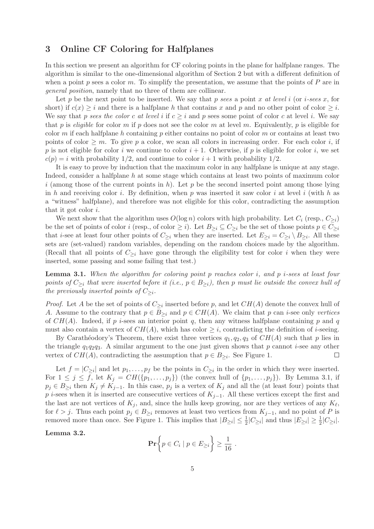## 3 Online CF Coloring for Halfplanes

In this section we present an algorithm for CF coloring points in the plane for halfplane ranges. The algorithm is similar to the one-dimensional algorithm of Section 2 but with a different definition of when a point p sees a color m. To simplify the presentation, we assume that the points of  $P$  are in general position, namely that no three of them are collinear.

Let p be the next point to be inserted. We say that p sees a point x at level i (or i-sees x, for short) if  $c(x) \geq i$  and there is a halfplane h that contains x and p and no other point of color  $\geq i$ . We say that p sees the color c at level i if  $c > i$  and p sees some point of color c at level i. We say that p is eligible for color m if p does not see the color m at level m. Equivalently, p is eligible for color m if each halfplane h containing p either contains no point of color m or contains at least two points of color  $\geq m$ . To give p a color, we scan all colors in increasing order. For each color i, if p is not eligible for color i we continue to color  $i + 1$ . Otherwise, if p is eligible for color i, we set  $c(p) = i$  with probability 1/2, and continue to color  $i + 1$  with probability 1/2.

It is easy to prove by induction that the maximum color in any halfplane is unique at any stage. Indeed, consider a halfplane h at some stage which contains at least two points of maximum color i (among those of the current points in h). Let p be the second inserted point among those lying in h and receiving color i. By definition, when p was inserted it saw color i at level i (with h as a "witness" halfplane), and therefore was not eligible for this color, contradicting the assumption that it got color i.

We next show that the algorithm uses  $O(\log n)$  colors with high probability. Let  $C_i$  (resp.,  $C_{\geq i}$ ) be the set of points of color i (resp., of color  $\geq i$ ). Let  $B_{\geq i} \subseteq C_{\geq i}$  be the set of those points  $p \in C_{\geq i}$ that *i*-see at least four other points of  $C_{\geq i}$  when they are inserted. Let  $E_{\geq i} = C_{\geq i} \setminus B_{\geq i}$ . All these sets are (set-valued) random variables, depending on the random choices made by the algorithm. (Recall that all points of  $C_{\geq i}$  have gone through the eligibility test for color i when they were inserted, some passing and some failing that test.)

**Lemma 3.1.** When the algorithm for coloring point p reaches color i, and p i-sees at least four points of  $C_{\geq i}$  that were inserted before it (i.e.,  $p \in B_{\geq i}$ ), then p must lie outside the convex hull of the previously inserted points of  $C_{\geq i}$ .

*Proof.* Let A be the set of points of  $C_{\geq i}$  inserted before p, and let  $CH(A)$  denote the convex hull of A. Assume to the contrary that  $p \in B_{\geq i}$  and  $p \in CH(A)$ . We claim that p can *i*-see only vertices of  $CH(A)$ . Indeed, if p i-sees an interior point q, then any witness halfplane containing p and q must also contain a vertex of  $CH(A)$ , which has color  $\geq i$ , contradicting the definition of *i*-seeing.

By Carathéodory's Theorem, there exist three vertices  $q_1, q_2, q_3$  of  $CH(A)$  such that p lies in the triangle  $q_1q_2q_3$ . A similar argument to the one just given shows that p cannot *i*-see any other vertex of  $CH(A)$ , contradicting the assumption that  $p \in B_{\geq i}$ . See Figure 1.  $\Box$ 

Let  $f = |C_{\geq i}|$  and let  $p_1, \ldots, p_f$  be the points in  $C_{\geq i}$  in the order in which they were inserted. For  $1 \leq j \leq f$ , let  $K_j = CH(\{p_1, \ldots, p_j\})$  (the convex hull of  $\{p_1, \ldots, p_j\}$ ). By Lemma 3.1, if  $p_j \in B_{\geq i}$  then  $K_j \neq K_{j-1}$ . In this case,  $p_j$  is a vertex of  $K_j$  and all the (at least four) points that p i-sees when it is inserted are consecutive vertices of  $K_{j-1}$ . All these vertices except the first and the last are not vertices of  $K_j$ , and, since the hulls keep growing, nor are they vertices of any  $K_{\ell}$ , for  $\ell > j$ . Thus each point  $p_j \in B_{\geq i}$  removes at least two vertices from  $K_{j-1}$ , and no point of P is removed more than once. See Figure 1. This implies that  $|B_{\geq i}| \leq \frac{1}{2}|C_{\geq i}|$  and thus  $|E_{\geq i}| \geq \frac{1}{2}|C_{\geq i}|$ .

#### Lemma 3.2.

$$
\Pr\bigg\{p\in C_i\mid p\in E_{\geq i}\bigg\}\geq \frac{1}{16}.
$$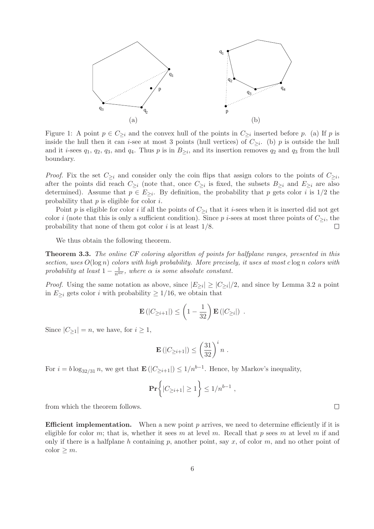

Figure 1: A point  $p \in C_{\geq i}$  and the convex hull of the points in  $C_{\geq i}$  inserted before p. (a) If p is inside the hull then it can *i*-see at most 3 points (hull vertices) of  $C_{\geq i}$ . (b) p is outside the hull and it *i*-sees  $q_1, q_2, q_3$ , and  $q_4$ . Thus p is in  $B_{\geq i}$ , and its insertion removes  $q_2$  and  $q_3$  from the hull boundary.

*Proof.* Fix the set  $C_{\geq i}$  and consider only the coin flips that assign colors to the points of  $C_{\geq i}$ , after the points did reach  $C_{\geq i}$  (note that, once  $C_{\geq i}$  is fixed, the subsets  $B_{\geq i}$  and  $E_{\geq i}$  are also determined). Assume that  $p \in E_{\geq i}$ . By definition, the probability that p gets color i is 1/2 the probability that  $p$  is eligible for color  $i$ .

Point p is eligible for color i if all the points of  $C_{\geq i}$  that it i-sees when it is inserted did not get color i (note that this is only a sufficient condition). Since p i-sees at most three points of  $C_{\geq i}$ , the probability that none of them got color  $i$  is at least  $1/8$ .  $\Box$ 

We thus obtain the following theorem.

Theorem 3.3. The online CF coloring algorithm of points for halfplane ranges, presented in this section, uses  $O(\log n)$  colors with high probability. More precisely, it uses at most c  $\log n$  colors with probability at least  $1 - \frac{1}{n^{\alpha c}}$ , where  $\alpha$  is some absolute constant.

*Proof.* Using the same notation as above, since  $|E_{\geq i}| \geq |C_{\geq i}|/2$ , and since by Lemma 3.2 a point in  $E_{\geq i}$  gets color i with probability  $\geq 1/16$ , we obtain that

$$
\mathbf{E}(|C_{\geq i+1}|) \leq \left(1 - \frac{1}{32}\right) \mathbf{E}(|C_{\geq i}|) .
$$

Since  $|C_{\geq 1}| = n$ , we have, for  $i \geq 1$ ,

$$
\mathbf{E}\left(|C_{\geq i+1}|\right) \leq \left(\frac{31}{32}\right)^{i} n .
$$

For  $i = b \log_{32/31} n$ , we get that  $\mathbf{E}(|C_{\geq i+1}|) \leq 1/n^{b-1}$ . Hence, by Markov's inequality,

$$
\Pr\bigg\{|C_{\geq i+1}| \geq 1\bigg\} \leq 1/n^{b-1},
$$

from which the theorem follows.

**Efficient implementation.** When a new point p arrives, we need to determine efficiently if it is eligible for color m; that is, whether it sees m at level m. Recall that p sees m at level m if and only if there is a halfplane h containing p, another point, say x, of color m, and no other point of  $color > m$ .

 $\Box$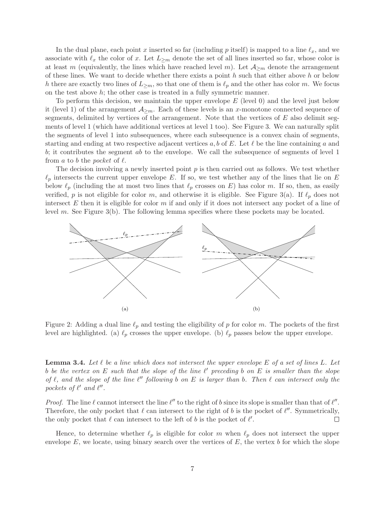In the dual plane, each point x inserted so far (including p itself) is mapped to a line  $\ell_x$ , and we associate with  $\ell_x$  the color of x. Let  $L_{\geq m}$  denote the set of all lines inserted so far, whose color is at least m (equivalently, the lines which have reached level m). Let  $\mathcal{A}_{\geq m}$  denote the arrangement of these lines. We want to decide whether there exists a point  $h$  such that either above  $h$  or below h there are exactly two lines of  $L_{\geq m}$ , so that one of them is  $\ell_p$  and the other has color m. We focus on the test above  $h$ ; the other case is treated in a fully symmetric manner.

To perform this decision, we maintain the upper envelope  $E$  (level 0) and the level just below it (level 1) of the arrangement  $\mathcal{A}_{\geq m}$ . Each of these levels is an x-monotone connected sequence of segments, delimited by vertices of the arrangement. Note that the vertices of  $E$  also delimit segments of level 1 (which have additional vertices at level 1 too). See Figure 3. We can naturally split the segments of level 1 into subsequences, where each subsequence is a convex chain of segments, starting and ending at two respective adjacent vertices a, b of E. Let  $\ell$  be the line containing a and  $b$ ; it contributes the segment  $ab$  to the envelope. We call the subsequence of segments of level 1 from a to b the pocket of  $\ell$ .

The decision involving a newly inserted point  $p$  is then carried out as follows. We test whether  $\ell_p$  intersects the current upper envelope E. If so, we test whether any of the lines that lie on E below  $\ell_p$  (including the at most two lines that  $\ell_p$  crosses on E) has color m. If so, then, as easily verified, p is not eligible for color m, and otherwise it is eligible. See Figure 3(a). If  $\ell_p$  does not intersect  $E$  then it is eligible for color  $m$  if and only if it does not intersect any pocket of a line of level m. See Figure 3(b). The following lemma specifies where these pockets may be located.



Figure 2: Adding a dual line  $\ell_p$  and testing the eligibility of p for color m. The pockets of the first level are highlighted. (a)  $\ell_p$  crosses the upper envelope. (b)  $\ell_p$  passes below the upper envelope.

**Lemma 3.4.** Let  $\ell$  be a line which does not intersect the upper envelope  $E$  of a set of lines  $L$ . Let b be the vertex on E such that the slope of the line  $\ell'$  preceding b on E is smaller than the slope of  $\ell$ , and the slope of the line  $\ell''$  following b on E is larger than b. Then  $\ell$  can intersect only the pockets of  $\ell'$  and  $\ell''$ .

Proof. The line  $\ell$  cannot intersect the line  $\ell''$  to the right of b since its slope is smaller than that of  $\ell''$ . Therefore, the only pocket that  $\ell$  can intersect to the right of b is the pocket of  $\ell''$ . Symmetrically, the only pocket that  $\ell$  can intersect to the left of b is the pocket of  $\ell'$ .  $\Box$ 

Hence, to determine whether  $\ell_p$  is eligible for color m when  $\ell_p$  does not intersect the upper envelope  $E$ , we locate, using binary search over the vertices of  $E$ , the vertex b for which the slope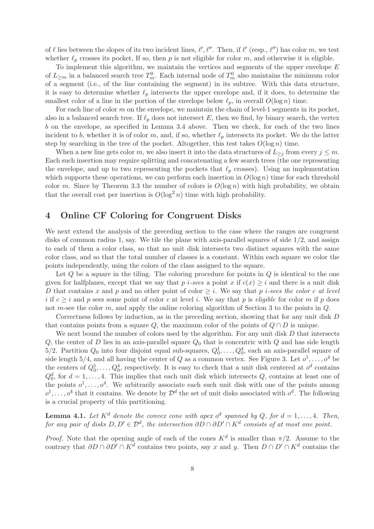of  $\ell$  lies between the slopes of its two incident lines,  $\ell', \ell''$ . Then, if  $\ell'$  (resp.,  $\ell'$ ) has color m, we test whether  $\ell_p$  crosses its pocket, If so, then p is not eligible for color m, and otherwise it is eligible.

To implement this algorithm, we maintain the vertices and segments of the upper envelope  $E$ of  $L_{\geq m}$  in a balanced search tree  $T_m^0$ . Each internal node of  $T_m^0$  also maintains the minimum color of a segment (i.e., of the line containing the segment) in its subtree. With this data structure, it is easy to determine whether  $\ell_p$  intersects the upper envelope and, if it does, to determine the smallest color of a line in the portion of the envelope below  $\ell_p$ , in overall  $O(\log n)$  time.

For each line of color  $m$  on the envelope, we maintain the chain of level-1 segments in its pocket, also in a balanced search tree. If  $\ell_p$  does not intersect E, then we find, by binary search, the vertex b on the envelope, as specified in Lemma 3.4 above. Then we check, for each of the two lines incident to b, whether it is of color m, and, if so, whether  $\ell_p$  intersects its pocket. We do the latter step by searching in the tree of the pocket. Altogether, this test takes  $O(\log n)$  time.

When a new line gets color m, we also insert it into the data structures of  $L_{\geq j}$  from every  $j \leq m$ . Each such insertion may require splitting and concatenating a few search trees (the one representing the envelope, and up to two representing the pockets that  $\ell_p$  crosses). Using an implementation which supports these operations, we can perform each insertion in  $O(\log n)$  time for each threshold color m. Since by Theorem 3.3 the number of colors is  $O(\log n)$  with high probability, we obtain that the overall cost per insertion is  $O(\log^2 n)$  time with high probability.

#### 4 Online CF Coloring for Congruent Disks

We next extend the analysis of the preceding section to the case where the ranges are congruent disks of common radius 1, say. We tile the plane with axis-parallel squares of side  $1/2$ , and assign to each of them a color class, so that no unit disk intersects two distinct squares with the same color class, and so that the total number of classes is a constant. Within each square we color the points independently, using the colors of the class assigned to the square.

Let  $Q$  be a square in the tiling. The coloring procedure for points in  $Q$  is identical to the one given for halfplanes, except that we say that p i-sees a point x if  $c(x) \geq i$  and there is a unit disk D that contains x and p and no other point of color  $\geq i$ . We say that p *i*-sees the color c at level i if  $c \geq i$  and p sees some point of color c at level i. We say that p is *eligible* for color m if p does not m-see the color m, and apply the online coloring algorithm of Section 3 to the points in Q.

Correctness follows by induction, as in the preceding section, showing that for any unit disk D that contains points from a square Q, the maximum color of the points of  $Q \cap D$  is unique.

We next bound the number of colors used by the algorithm. For any unit disk  $D$  that intersects  $Q$ , the center of D lies in an axis-parallel square  $Q_0$  that is concentric with  $Q$  and has side length 5/2. Partition  $Q_0$  into four disjoint equal sub-squares,  $Q_0^1, \ldots, Q_0^4$ , each an axis-parallel square of side length 5/4, and all having the center of Q as a common vertex. See Figure 3. Let  $o^1, \ldots, o^4$  be the centers of  $Q_0^1, \ldots, Q_0^4$ , respectively. It is easy to check that a unit disk centered at  $o^d$  contains  $Q_0^d$ , for  $d = 1, \ldots, 4$ . This implies that each unit disk which intersects Q, contains at least one of 0 the points  $o^1, \ldots, o^4$ . We arbitrarily associate each such unit disk with one of the points among  $o^1, \ldots, o^4$  that it contains. We denote by  $\mathcal{D}^d$  the set of unit disks associated with  $o^d$ . The following is a crucial property of this partitioning.

**Lemma 4.1.** Let  $K^d$  denote the convex cone with apex  $o^d$  spanned by Q, for  $d = 1, ..., 4$ . Then, for any pair of disks  $D, D' \in \mathcal{D}^d$ , the intersection  $\partial D \cap \partial D' \cap K^d$  consists of at most one point.

*Proof.* Note that the opening angle of each of the cones  $K^d$  is smaller than  $\pi/2$ . Assume to the contrary that  $\partial D \cap \partial D' \cap K^d$  contains two points, say x and y. Then  $D \cap D' \cap K^d$  contains the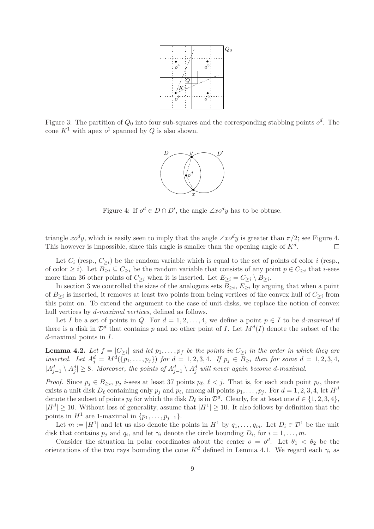

Figure 3: The partition of  $Q_0$  into four sub-squares and the corresponding stabbing points  $o^d$ . The cone  $K^1$  with apex  $o^1$  spanned by Q is also shown.



Figure 4: If  $o^d \in D \cap D'$ , the angle  $\angle x o^d y$  has to be obtuse.

triangle  $xo^dy$ , which is easily seen to imply that the angle ∠ $xo^dy$  is greater than  $\pi/2$ ; see Figure 4. This however is impossible, since this angle is smaller than the opening angle of  $K^d$ .

Let  $C_i$  (resp.,  $C_{\geq i}$ ) be the random variable which is equal to the set of points of color i (resp., of color  $\geq i$ ). Let  $B_{\geq i} \subseteq C_{\geq i}$  be the random variable that consists of any point  $p \in C_{\geq i}$  that *i*-sees more than 36 other points of  $C_{\geq i}$  when it is inserted. Let  $E_{\geq i} = C_{\geq i} \setminus B_{\geq i}$ .

In section 3 we controlled the sizes of the analogous sets  $B_{\geq i}$ ,  $E_{\geq i}$  by arguing that when a point of  $B_{\geq i}$  is inserted, it removes at least two points from being vertices of the convex hull of  $C_{\geq i}$  from this point on. To extend the argument to the case of unit disks, we replace the notion of convex hull vertices by *d*-maximal vertices, defined as follows.

Let I be a set of points in Q. For  $d = 1, 2, ..., 4$ , we define a point  $p \in I$  to be d-maximal if there is a disk in  $\mathcal{D}^d$  that contains p and no other point of I. Let  $M^d(I)$  denote the subset of the  $d$ -maximal points in  $I$ .

**Lemma 4.2.** Let  $f = |C_{\geq i}|$  and let  $p_1, \ldots, p_f$  be the points in  $C_{\geq i}$  in the order in which they are inserted. Let  $A_j^d = M^d({p_1, ..., p_j})$  for  $d = 1, 2, 3, 4$ . If  $p_j \in B_{\geq i}$  then for some  $d = 1, 2, 3, 4$ ,  $|A_{j-1}^d \setminus A_j^d| \geq 8$ . Moreover, the points of  $A_{j-1}^d \setminus A_j^d$  will never again become d-maximal.

*Proof.* Since  $p_j \in B_{\geq i}$ ,  $p_j$  *i*-sees at least 37 points  $p_\ell$ ,  $\ell < j$ . That is, for each such point  $p_\ell$ , there exists a unit disk  $D_{\ell}$  containing only  $p_j$  and  $p_{\ell}$ , among all points  $p_1, \ldots, p_j$ . For  $d = 1, 2, 3, 4$ , let  $H^d$ denote the subset of points  $p_\ell$  for which the disk  $D_\ell$  is in  $\mathcal{D}^d$ . Clearly, for at least one  $d \in \{1, 2, 3, 4\}$ ,  $|H^d| \geq 10$ . Without loss of generality, assume that  $|H^1| \geq 10$ . It also follows by definition that the points in  $H^1$  are 1-maximal in  $\{p_1, \ldots, p_{i-1}\}.$ 

Let  $m := |H^1|$  and let us also denote the points in  $H^1$  by  $q_1, \ldots, q_m$ . Let  $D_i \in \mathcal{D}^1$  be the unit disk that contains  $p_j$  and  $q_i$ , and let  $\gamma_i$  denote the circle bounding  $D_i$ , for  $i = 1, \ldots, m$ .

Consider the situation in polar coordinates about the center  $o = o^d$ . Let  $\theta_1 < \theta_2$  be the orientations of the two rays bounding the cone  $K^d$  defined in Lemma 4.1. We regard each  $\gamma_i$  as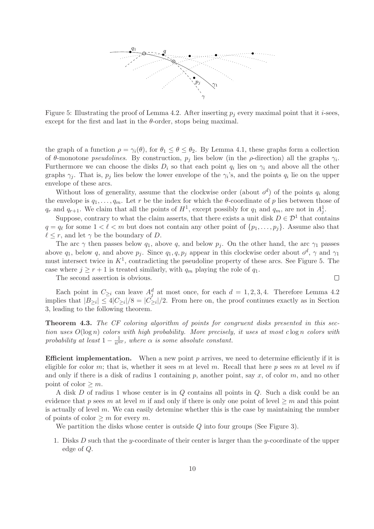

Figure 5: Illustrating the proof of Lemma 4.2. After inserting  $p_i$  every maximal point that it *i*-sees, except for the first and last in the  $\theta$ -order, stops being maximal.

the graph of a function  $\rho = \gamma_i(\theta)$ , for  $\theta_1 \le \theta \le \theta_2$ . By Lemma 4.1, these graphs form a collection of  $\theta$ -monotone *pseudolines*. By construction,  $p_j$  lies below (in the  $\rho$ -direction) all the graphs  $\gamma_i$ . Furthermore we can choose the disks  $D_i$  so that each point  $q_i$  lies on  $\gamma_i$  and above all the other graphs  $\gamma_j$ . That is,  $p_j$  lies below the lower envelope of the  $\gamma_i$ 's, and the points  $q_i$  lie on the upper envelope of these arcs.

Without loss of generality, assume that the clockwise order (about  $o^d$ ) of the points  $q_i$  along the envelope is  $q_1, \ldots, q_m$ . Let r be the index for which the  $\theta$ -coordinate of p lies between those of  $q_r$  and  $q_{r+1}$ . We claim that all the points of  $H^1$ , except possibly for  $q_1$  and  $q_m$ , are not in  $A_j^1$ .

Suppose, contrary to what the claim asserts, that there exists a unit disk  $D \in \mathcal{D}^1$  that contains  $q = q_{\ell}$  for some  $1 < \ell < m$  but does not contain any other point of  $\{p_1, \ldots, p_j\}$ . Assume also that  $\ell \leq r$ , and let  $\gamma$  be the boundary of D.

The arc  $\gamma$  then passes below  $q_1$ , above q, and below  $p_i$ . On the other hand, the arc  $\gamma_1$  passes above  $q_1$ , below q, and above  $p_j$ . Since  $q_1, q, p_j$  appear in this clockwise order about  $o^d$ ,  $\gamma$  and  $\gamma_1$ must intersect twice in  $K^1$ , contradicting the pseudoline property of these arcs. See Figure 5. The case where  $j \geq r+1$  is treated similarly, with  $q_m$  playing the role of  $q_1$ .

 $\Box$ 

The second assertion is obvious.

Each point in  $C_{\geq i}$  can leave  $A_j^d$  at most once, for each  $d = 1, 2, 3, 4$ . Therefore Lemma 4.2 implies that  $|B_{\geq i}| \leq 4|C_{\geq i}|/8 = |C_{\geq i}|/2$ . From here on, the proof continues exactly as in Section 3, leading to the following theorem.

Theorem 4.3. The CF coloring algorithm of points for congruent disks presented in this section uses  $O(\log n)$  colors with high probability. More precisely, it uses at most clog n colors with probability at least  $1 - \frac{1}{n^{\alpha c}}$ , where  $\alpha$  is some absolute constant.

**Efficient implementation.** When a new point  $p$  arrives, we need to determine efficiently if it is eligible for color m; that is, whether it sees m at level m. Recall that here p sees m at level m if and only if there is a disk of radius 1 containing  $p$ , another point, say  $x$ , of color  $m$ , and no other point of color  $\geq m$ .

A disk D of radius 1 whose center is in Q contains all points in Q. Such a disk could be an evidence that p sees m at level m if and only if there is only one point of level  $\geq m$  and this point is actually of level  $m$ . We can easily detemine whether this is the case by maintaining the number of points of color  $\geq m$  for every m.

We partition the disks whose center is outside  $Q$  into four groups (See Figure 3).

1. Disks D such that the y-coordinate of their center is larger than the y-coordinate of the upper edge of Q.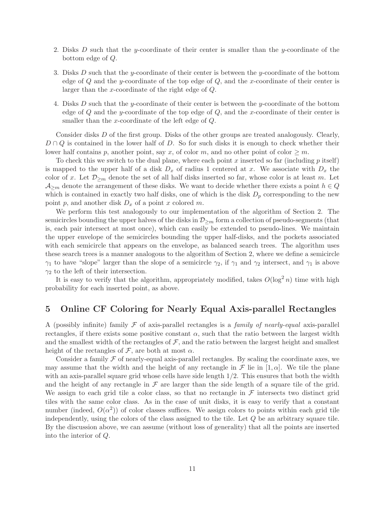- 2. Disks D such that the y-coordinate of their center is smaller than the y-coordinate of the bottom edge of Q.
- 3. Disks D such that the y-coordinate of their center is between the y-coordinate of the bottom edge of  $Q$  and the y-coordinate of the top edge of  $Q$ , and the x-coordinate of their center is larger than the x-coordinate of the right edge of Q.
- 4. Disks D such that the y-coordinate of their center is between the y-coordinate of the bottom edge of  $Q$  and the y-coordinate of the top edge of  $Q$ , and the x-coordinate of their center is smaller than the x-coordinate of the left edge of  $Q$ .

Consider disks D of the first group. Disks of the other groups are treated analogously. Clearly,  $D \cap Q$  is contained in the lower half of D. So for such disks it is enough to check whether their lower half contains p, another point, say x, of color m, and no other point of color  $\geq m$ .

To check this we switch to the dual plane, where each point  $x$  inserted so far (including  $p$  itself) is mapped to the upper half of a disk  $D_x$  of radius 1 centered at x. We associate with  $D_x$  the color of x. Let  $\mathcal{D}_{\geq m}$  denote the set of all half disks inserted so far, whose color is at least m. Let  $\mathcal{A}_{\geq m}$  denote the arrangement of these disks. We want to decide whether there exists a point  $h \in Q$ which is contained in exactly two half disks, one of which is the disk  $D_p$  corresponding to the new point p, and another disk  $D_x$  of a point x colored m.

We perform this test analogously to our implementation of the algorithm of Section 2. The semicircles bounding the upper halves of the disks in  $\mathcal{D}_{\geq m}$  form a collection of pseudo-segments (that is, each pair intersect at most once), which can easily be extended to pseudo-lines. We maintain the upper envelope of the semicircles bounding the upper half-disks, and the pockets associated with each semicircle that appears on the envelope, as balanced search trees. The algorithm uses these search trees is a manner analogous to the algorithm of Section 2, where we define a semicircle  $\gamma_1$  to have "slope" larger than the slope of a semicircle  $\gamma_2$ , if  $\gamma_1$  and  $\gamma_2$  intersect, and  $\gamma_1$  is above  $\gamma_2$  to the left of their intersection.

It is easy to verify that the algorithm, appropriately modified, takes  $O(\log^2 n)$  time with high probability for each inserted point, as above.

#### 5 Online CF Coloring for Nearly Equal Axis-parallel Rectangles

A (possibly infinite) family  $\mathcal F$  of axis-parallel rectangles is a *family of nearly-equal* axis-parallel rectangles, if there exists some positive constant  $\alpha$ , such that the ratio between the largest width and the smallest width of the rectangles of  $\mathcal F$ , and the ratio between the largest height and smallest height of the rectangles of  $\mathcal F$ , are both at most  $\alpha$ .

Consider a family  $\mathcal F$  of nearly-equal axis-parallel rectangles. By scaling the coordinate axes, we may assume that the width and the height of any rectangle in  $\mathcal F$  lie in  $[1, \alpha]$ . We tile the plane with an axis-parallel square grid whose cells have side length  $1/2$ . This ensures that both the width and the height of any rectangle in  $\mathcal F$  are larger than the side length of a square tile of the grid. We assign to each grid tile a color class, so that no rectangle in  $\mathcal F$  intersects two distinct grid tiles with the same color class. As in the case of unit disks, it is easy to verify that a constant number (indeed,  $O(\alpha^2)$ ) of color classes suffices. We assign colors to points within each grid tile independently, using the colors of the class assigned to the tile. Let  $Q$  be an arbitrary square tile. By the discussion above, we can assume (without loss of generality) that all the points are inserted into the interior of Q.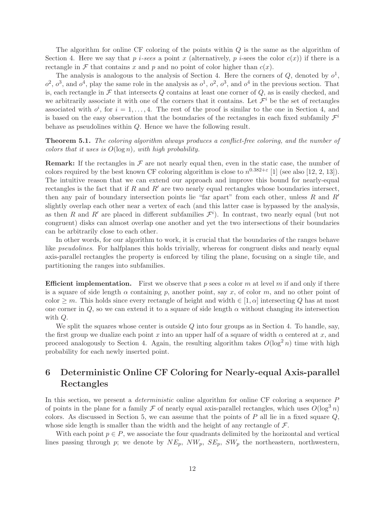The algorithm for online CF coloring of the points within Q is the same as the algorithm of Section 4. Here we say that p i-sees a point x (alternatively, p i-sees the color  $c(x)$ ) if there is a rectangle in  $\mathcal F$  that contains x and p and no point of color higher than  $c(x)$ .

The analysis is analogous to the analysis of Section 4. Here the corners of  $Q$ , denoted by  $o^1$ ,  $o^2$ ,  $o^3$ , and  $o^4$ , play the same role in the analysis as  $o^1$ ,  $o^2$ ,  $o^3$ , and  $o^4$  in the previous section. That is, each rectangle in  $\mathcal F$  that intersects  $Q$  contains at least one corner of  $Q$ , as is easily checked, and we arbitrarily associate it with one of the corners that it contains. Let  $\mathcal{F}^i$  be the set of rectangles associated with  $o^i$ , for  $i = 1, \ldots, 4$ . The rest of the proof is similar to the one in Section 4, and is based on the easy observation that the boundaries of the rectangles in each fixed subfamily  $\mathcal{F}^i$ behave as pseudolines within Q. Hence we have the following result.

Theorem 5.1. The coloring algorithm always produces a conflict-free coloring, and the number of colors that it uses is  $O(\log n)$ , with high probability.

**Remark:** If the rectangles in  $\mathcal F$  are not nearly equal then, even in the static case, the number of colors required by the best known CF coloring algorithm is close to  $n^{0.382+\epsilon}$  [1] (see also [12, 2, 13]). The intuitive reason that we can extend our approach and improve this bound for nearly-equal rectangles is the fact that if  $R$  and  $R'$  are two nearly equal rectangles whose boundaries intersect, then any pair of boundary intersection points lie "far apart" from each other, unless  $R$  and  $R'$ slightly overlap each other near a vertex of each (and this latter case is bypassed by the analysis, as then R and R' are placed in different subfamilies  $\mathcal{F}^i$ ). In contrast, two nearly equal (but not congruent) disks can almost overlap one another and yet the two intersections of their boundaries can be arbitrarily close to each other.

In other words, for our algorithm to work, it is crucial that the boundaries of the ranges behave like *pseudolines*. For halfplanes this holds trivially, whereas for congruent disks and nearly equal axis-parallel rectangles the property is enforced by tiling the plane, focusing on a single tile, and partitioning the ranges into subfamilies.

**Efficient implementation.** First we observe that p sees a color m at level m if and only if there is a square of side length  $\alpha$  containing p, another point, say x, of color m, and no other point of color  $\geq m$ . This holds since every rectangle of height and width  $\in [1, \alpha]$  intersecting Q has at most one corner in  $Q$ , so we can extend it to a square of side length  $\alpha$  without changing its intersection with Q.

We split the squares whose center is outside  $Q$  into four groups as in Section 4. To handle, say, the first group we dualize each point x into an upper half of a square of width  $\alpha$  centered at x, and proceed analogously to Section 4. Again, the resulting algorithm takes  $O(\log^2 n)$  time with high probability for each newly inserted point.

## 6 Deterministic Online CF Coloring for Nearly-equal Axis-parallel Rectangles

In this section, we present a *deterministic* online algorithm for online CF coloring a sequence P of points in the plane for a family  $\mathcal F$  of nearly equal axis-parallel rectangles, which uses  $O(\log^3 n)$ colors. As discussed in Section 5, we can assume that the points of  $P$  all lie in a fixed square  $Q$ , whose side length is smaller than the width and the height of any rectangle of  $\mathcal{F}$ .

With each point  $p \in P$ , we associate the four quadrants delimited by the horizontal and vertical lines passing through p; we denote by  $NE_p$ ,  $NW_p$ ,  $SE_p$ ,  $SW_p$  the northeastern, northwestern,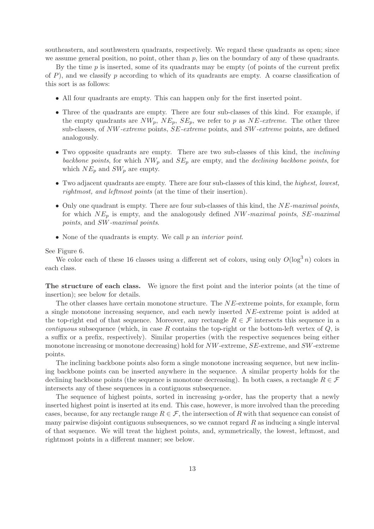southeastern, and southwestern quadrants, respectively. We regard these quadrants as open; since we assume general position, no point, other than  $p$ , lies on the boundary of any of these quadrants.

By the time  $p$  is inserted, some of its quadrants may be empty (of points of the current prefix of  $P$ ), and we classify p according to which of its quadrants are empty. A coarse classification of this sort is as follows:

- All four quadrants are empty. This can happen only for the first inserted point.
- Three of the quadrants are empty. There are four sub-classes of this kind. For example, if the empty quadrants are  $NW_p$ ,  $NE_p$ ,  $SE_p$ , we refer to p as  $NE\text{-}extreme$ . The other three sub-classes, of NW-extreme points, SE-extreme points, and SW-extreme points, are defined analogously.
- Two opposite quadrants are empty. There are two sub-classes of this kind, the *inclining* backbone points, for which  $NW_p$  and  $SE_p$  are empty, and the *declining backbone points*, for which  $NE_p$  and  $SW_p$  are empty.
- Two adjacent quadrants are empty. There are four sub-classes of this kind, the *highest*, lowest, rightmost, and leftmost points (at the time of their insertion).
- Only one quadrant is empty. There are four sub-classes of this kind, the  $NE$ -maximal points, for which  $NE_p$  is empty, and the analogously defined NW-maximal points, SE-maximal points, and SW-maximal points.
- None of the quadrants is empty. We call  $p$  an *interior point*.

See Figure 6.

We color each of these 16 classes using a different set of colors, using only  $O(\log^3 n)$  colors in each class.

The structure of each class. We ignore the first point and the interior points (at the time of insertion); see below for details.

The other classes have certain monotone structure. The NE-extreme points, for example, form a single monotone increasing sequence, and each newly inserted NE-extreme point is added at the top-right end of that sequence. Moreover, any rectangle  $R \in \mathcal{F}$  intersects this sequence in a *contiguous* subsequence (which, in case R contains the top-right or the bottom-left vertex of  $Q$ , is a suffix or a prefix, respectively). Similar properties (with the respective sequences being either monotone increasing or monotone decreasing) hold for  $NW$ -extreme,  $SE$ -extreme, and  $SW$ -extreme points.

The inclining backbone points also form a single monotone increasing sequence, but new inclining backbone points can be inserted anywhere in the sequence. A similar property holds for the declining backbone points (the sequence is monotone decreasing). In both cases, a rectangle  $R \in \mathcal{F}$ intersects any of these sequences in a contiguous subsequence.

The sequence of highest points, sorted in increasing  $y$ -order, has the property that a newly inserted highest point is inserted at its end. This case, however, is more involved than the preceding cases, because, for any rectangle range  $R \in \mathcal{F}$ , the intersection of R with that sequence can consist of many pairwise disjoint contiguous subsequences, so we cannot regard  $R$  as inducing a single interval of that sequence. We will treat the highest points, and, symmetrically, the lowest, leftmost, and rightmost points in a different manner; see below.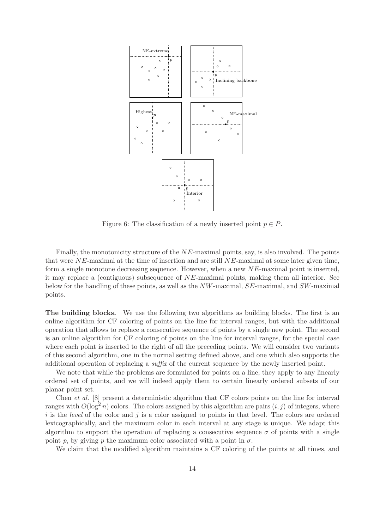

Figure 6: The classification of a newly inserted point  $p \in P$ .

Finally, the monotonicity structure of the  $NE$ -maximal points, say, is also involved. The points that were  $NE$ -maximal at the time of insertion and are still  $NE$ -maximal at some later given time, form a single monotone decreasing sequence. However, when a new NE-maximal point is inserted, it may replace a (contiguous) subsequence of  $NE$ -maximal points, making them all interior. See below for the handling of these points, as well as the NW-maximal, SE-maximal, and SW-maximal points.

The building blocks. We use the following two algorithms as building blocks. The first is an online algorithm for CF coloring of points on the line for interval ranges, but with the additional operation that allows to replace a consecutive sequence of points by a single new point. The second is an online algorithm for CF coloring of points on the line for interval ranges, for the special case where each point is inserted to the right of all the preceding points. We will consider two variants of this second algorithm, one in the normal setting defined above, and one which also supports the additional operation of replacing a suffix of the current sequence by the newly inserted point.

We note that while the problems are formulated for points on a line, they apply to any linearly ordered set of points, and we will indeed apply them to certain linearly ordered subsets of our planar point set.

Chen et al. [8] present a deterministic algorithm that CF colors points on the line for interval ranges with  $O(\log^2 n)$  colors. The colors assigned by this algorithm are pairs  $(i, j)$  of integers, where i is the level of the color and j is a color assigned to points in that level. The colors are ordered lexicographically, and the maximum color in each interval at any stage is unique. We adapt this algorithm to support the operation of replacing a consecutive sequence  $\sigma$  of points with a single point p, by giving p the maximum color associated with a point in  $\sigma$ .

We claim that the modified algorithm maintains a CF coloring of the points at all times, and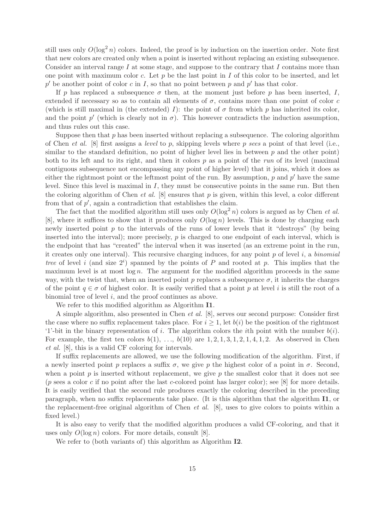still uses only  $O(\log^2 n)$  colors. Indeed, the proof is by induction on the insertion order. Note first that new colors are created only when a point is inserted without replacing an existing subsequence. Consider an interval range  $I$  at some stage, and suppose to the contrary that  $I$  contains more than one point with maximum color c. Let  $p$  be the last point in  $I$  of this color to be inserted, and let  $p'$  be another point of color c in I, so that no point between p and p' has that color.

If p has replaced a subsequence  $\sigma$  then, at the moment just before p has been inserted, I, extended if necessary so as to contain all elements of  $\sigma$ , contains more than one point of color c (which is still maximal in (the extended) I): the point of  $\sigma$  from which p has inherited its color, and the point  $p'$  (which is clearly not in  $\sigma$ ). This however contradicts the induction assumption, and thus rules out this case.

Suppose then that  $p$  has been inserted without replacing a subsequence. The coloring algorithm of Chen et al. [8] first assigns a level to p, skipping levels where p sees a point of that level (i.e., similar to the standard definition, no point of higher level lies in between  $p$  and the other point) both to its left and to its right, and then it colors  $p$  as a point of the *run* of its level (maximal contiguous subsequence not encompassing any point of higher level) that it joins, which it does as either the rightmost point or the leftmost point of the run. By assumption,  $p$  and  $p'$  have the same level. Since this level is maximal in I, they must be consecutive points in the same run. But then the coloring algorithm of Chen *et al.* [8] ensures that p is given, within this level, a color different from that of  $p'$ , again a contradiction that establishes the claim.

The fact that the modified algorithm still uses only  $O(\log^2 n)$  colors is argued as by Chen *et al.* [8], where it suffices to show that it produces only  $O(\log n)$  levels. This is done by charging each newly inserted point  $p$  to the intervals of the runs of lower levels that it "destroys" (by being inserted into the interval); more precisely,  $p$  is charged to one endpoint of each interval, which is the endpoint that has "created" the interval when it was inserted (as an extreme point in the run, it creates only one interval). This recursive charging induces, for any point  $p$  of level  $i$ , a binomial tree of level i (and size  $2^{i}$ ) spanned by the points of P and rooted at p. This implies that the maximum level is at most  $\log n$ . The argument for the modified algorithm proceeds in the same way, with the twist that, when an inserted point p replaces a subsequence  $\sigma$ , it inherits the charges of the point  $q \in \sigma$  of highest color. It is easily verified that a point p at level i is still the root of a binomial tree of level i, and the proof continues as above.

We refer to this modified algorithm as Algorithm I1.

A simple algorithm, also presented in Chen et al. [8], serves our second purpose: Consider first the case where no suffix replacement takes place. For  $i \geq 1$ , let  $b(i)$  be the position of the rightmost '1'-bit in the binary representation of i. The algorithm colors the ith point with the number  $b(i)$ . For example, the first ten colors  $b(1), \ldots, b(10)$  are  $1, 2, 1, 3, 1, 2, 1, 4, 1, 2$ . As observed in Chen et al. [8], this is a valid CF coloring for intervals.

If suffix replacements are allowed, we use the following modification of the algorithm. First, if a newly inserted point p replaces a suffix  $\sigma$ , we give p the highest color of a point in  $\sigma$ . Second, when a point  $p$  is inserted without replacement, we give  $p$  the smallest color that it does not see (p sees a color c if no point after the last c-colored point has larger color); see [8] for more details. It is easily verified that the second rule produces exactly the coloring described in the preceding paragraph, when no suffix replacements take place. (It is this algorithm that the algorithm I1, or the replacement-free original algorithm of Chen *et al.* [8], uses to give colors to points within a fixed level.)

It is also easy to verify that the modified algorithm produces a valid CF-coloring, and that it uses only  $O(\log n)$  colors. For more details, consult [8].

We refer to (both variants of) this algorithm as Algorithm **I2**.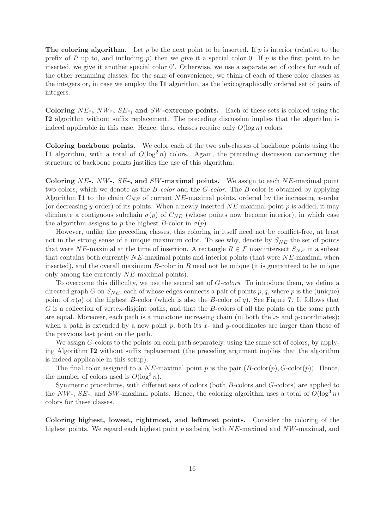**The coloring algorithm.** Let p be the next point to be inserted. If p is interior (relative to the prefix of P up to, and including p) then we give it a special color 0. If p is the first point to be inserted, we give it another special color 0′ . Otherwise, we use a separate set of colors for each of the other remaining classes; for the sake of convenience, we think of each of these color classes as the integers or, in case we employ the I1 algorithm, as the lexicographically ordered set of pairs of integers.

Coloring  $NE$ -,  $NW$ -,  $SE$ -, and  $SW$ -extreme points. Each of these sets is colored using the I2 algorithm without suffix replacement. The preceding discussion implies that the algorithm is indeed applicable in this case. Hence, these classes require only  $O(\log n)$  colors.

Coloring backbone points. We color each of the two sub-classes of backbone points using the I1 algorithm, with a total of  $O(\log^2 n)$  colors. Again, the preceding discussion concerning the structure of backbone points justifies the use of this algorithm.

Coloring  $NE$ -,  $NW$ -,  $SE$ -, and  $SW$ -maximal points. We assign to each  $NE$ -maximal point two colors, which we denote as the B-color and the G-color. The B-color is obtained by applying Algorithm I1 to the chain  $C_{NE}$  of current NE-maximal points, ordered by the increasing x-order (or decreasing y-order) of its points. When a newly inserted  $NE$ -maximal point p is added, it may eliminate a contiguous subchain  $\sigma(p)$  of  $C_{NE}$  (whose points now become interior), in which case the algorithm assigns to p the highest B-color in  $\sigma(p)$ .

However, unlike the preceding classes, this coloring in itself need not be conflict-free, at least not in the strong sense of a unique maximum color. To see why, denote by  $S_{NE}$  the set of points that were NE-maximal at the time of insertion. A rectangle  $R \in \mathcal{F}$  may intersect  $S_{NE}$  in a subset that contains both currently NE-maximal points and interior points (that were NE-maximal when inserted), and the overall maximum  $B$ -color in  $R$  need not be unique (it is guaranteed to be unique only among the currently NE-maximal points).

To overcome this difficulty, we use the second set of G-colors. To introduce them, we define a directed graph G on  $S_{NE}$ , each of whose edges connects a pair of points p, q, where p is the (unique) point of  $\sigma(q)$  of the highest B-color (which is also the B-color of q). See Figure 7. It follows that G is a collection of vertex-disjoint paths, and that the B-colors of all the points on the same path are equal. Moreover, each path is a monotone increasing chain (in both the  $x$ - and  $y$ -coordinates); when a path is extended by a new point p, both its x- and y-coordinates are larger than those of the previous last point on the path.

We assign G-colors to the points on each path separately, using the same set of colors, by applying Algorithm I2 without suffix replacement (the preceding argument implies that the algorithm is indeed applicable in this setup).

The final color assigned to a NE-maximal point p is the pair  $(B\text{-color}(p), G\text{-color}(p))$ . Hence, the number of colors used is  $O(\log^3 n)$ .

Symmetric procedures, with different sets of colors (both B-colors and G-colors) are applied to the NW-,  $SE$ -, and SW-maximal points. Hence, the coloring algorithm uses a total of  $O(\log^3 n)$ colors for these classes.

Coloring highest, lowest, rightmost, and leftmost points. Consider the coloring of the highest points. We regard each highest point p as being both NE-maximal and NW-maximal, and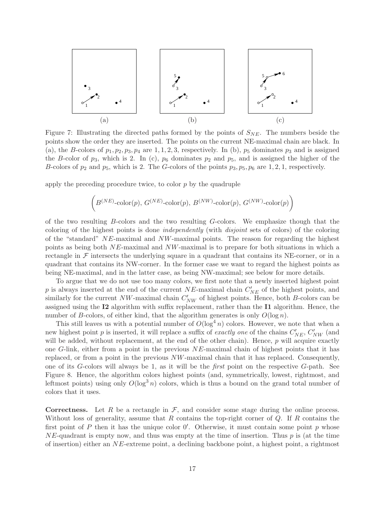

Figure 7: Illustrating the directed paths formed by the points of  $S_{NE}$ . The numbers beside the points show the order they are inserted. The points on the current NE-maximal chain are black. In (a), the B-colors of  $p_1, p_2, p_3, p_4$  are 1, 1, 2, 3, respectively. In (b),  $p_5$  dominates  $p_3$  and is assigned the B-color of  $p_3$ , which is 2. In (c),  $p_6$  dominates  $p_2$  and  $p_5$ , and is assigned the higher of the B-colors of  $p_2$  and  $p_5$ , which is 2. The G-colors of the points  $p_3, p_5, p_6$  are 1, 2, 1, respectively.

apply the preceding procedure twice, to color  $p$  by the quadruple

$$
\bigg(B^{(NE)}\text{-color}(p),\,G^{(NE)}\text{-color}(p),\,B^{(NW)}\text{-color}(p),\,G^{(NW)}\text{-color}(p)\bigg)
$$

of the two resulting B-colors and the two resulting G-colors. We emphasize though that the coloring of the highest points is done *independently* (with *disjoint* sets of colors) of the coloring of the "standard"  $NE$ -maximal and  $NW$ -maximal points. The reason for regarding the highest points as being both NE-maximal and NW-maximal is to prepare for both situations in which a rectangle in  $\mathcal F$  intersects the underlying square in a quadrant that contains its NE-corner, or in a quadrant that contains its NW-corner. In the former case we want to regard the highest points as being NE-maximal, and in the latter case, as being NW-maximal; see below for more details.

To argue that we do not use too many colors, we first note that a newly inserted highest point p is always inserted at the end of the current NE-maximal chain  $C'_{NE}$  of the highest points, and similarly for the current  $NW$ -maximal chain  $C'_{NW}$  of highest points. Hence, both B-colors can be assigned using the I2 algorithm with suffix replacement, rather than the I1 algorithm. Hence, the number of B-colors, of either kind, that the algorithm generates is only  $O(\log n)$ .

This still leaves us with a potential number of  $O(\log^4 n)$  colors. However, we note that when a new highest point p is inserted, it will replace a suffix of *exactly one* of the chains  $C'_{NE}$ ,  $C'_{NW}$  (and will be added, without replacement, at the end of the other chain). Hence, p will acquire exactly one G-link, either from a point in the previous  $NE$ -maximal chain of highest points that it has replaced, or from a point in the previous NW-maximal chain that it has replaced. Consequently, one of its G-colors will always be 1, as it will be the *first* point on the respective  $G$ -path. See Figure 8. Hence, the algorithm colors highest points (and, symmetrically, lowest, rightmost, and leftmost points) using only  $O(\log^3 n)$  colors, which is thus a bound on the grand total number of colors that it uses.

Correctness. Let R be a rectangle in  $\mathcal{F}$ , and consider some stage during the online process. Without loss of generality, assume that R contains the top-right corner of  $Q$ . If R contains the first point of  $P$  then it has the unique color  $0'$ . Otherwise, it must contain some point  $p$  whose  $NE$ -quadrant is empty now, and thus was empty at the time of insertion. Thus p is (at the time of insertion) either an NE-extreme point, a declining backbone point, a highest point, a rightmost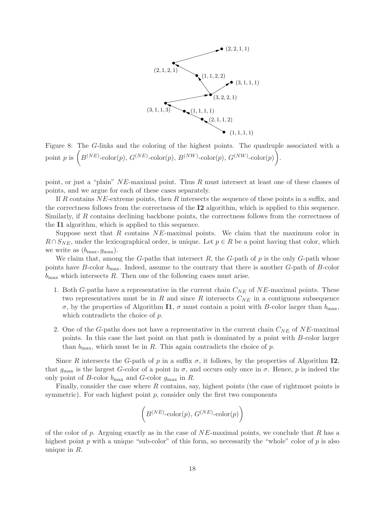

Figure 8: The G-links and the coloring of the highest points. The quadruple associated with a point p is  $(B^{(NE)}\text{-color}(p), G^{(NE)}\text{-color}(p), B^{(NW)}\text{-color}(p), G^{(NW)}\text{-color}(p)).$ 

point, or just a "plain" NE-maximal point. Thus R must intersect at least one of these classes of points, and we argue for each of these cases separately.

If R contains  $NE$ -extreme points, then R intersects the sequence of these points in a suffix, and the correctness follows from the correctness of the I2 algorithm, which is applied to this sequence. Similarly, if R contains declining backbone points, the correctness follows from the correctness of the I1 algorithm, which is applied to this sequence.

Suppose next that  $R$  contains  $NE$ -maximal points. We claim that the maximum color in  $R \cap S_{NE}$ , under the lexicographical order, is unique. Let  $p \in R$  be a point having that color, which we write as  $(b_{\text{max}}, g_{\text{max}})$ .

We claim that, among the G-paths that intersect R, the G-path of p is the only G-path whose points have B-color  $b_{\text{max}}$ . Indeed, assume to the contrary that there is another G-path of B-color  $b_{\text{max}}$  which intersects R. Then one of the following cases must arise.

- 1. Both G-paths have a representative in the current chain  $C_{NE}$  of NE-maximal points. These two representatives must be in R and since R intersects  $C_{NE}$  in a contiguous subsequence σ, by the properties of Algorithm I1, σ must contain a point with B-color larger than  $b_{\text{max}}$ , which contradicts the choice of p.
- 2. One of the G-paths does not have a representative in the current chain  $C_{NE}$  of NE-maximal points. In this case the last point on that path is dominated by a point with B-color larger than  $b_{\text{max}}$ , which must be in R. This again contradicts the choice of p.

Since R intersects the G-path of p in a suffix  $\sigma$ , it follows, by the properties of Algorithm **I2**, that  $g_{\text{max}}$  is the largest G-color of a point in  $\sigma$ , and occurs only once in  $\sigma$ . Hence, p is indeed the only point of B-color  $b_{\text{max}}$  and G-color  $g_{\text{max}}$  in R.

Finally, consider the case where  $R$  contains, say, highest points (the case of rightmost points is symmetric). For each highest point  $p$ , consider only the first two components

$$
\bigg(B^{(NE)}\text{-color}(p),\,G^{(NE)}\text{-color}(p)\bigg)
$$

of the color of p. Arguing exactly as in the case of  $NE$ -maximal points, we conclude that R has a highest point  $p$  with a unique "sub-color" of this form, so necessarily the "whole" color of  $p$  is also unique in R.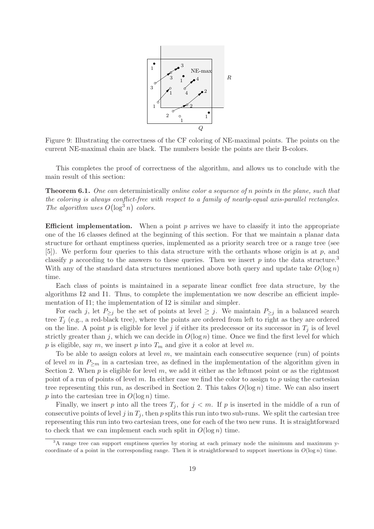

Figure 9: Illustrating the correctness of the CF coloring of NE-maximal points. The points on the current NE-maximal chain are black. The numbers beside the points are their B-colors.

This completes the proof of correctness of the algorithm, and allows us to conclude with the main result of this section:

**Theorem 6.1.** One can deterministically online color a sequence of n points in the plane, such that the coloring is always conflict-free with respect to a family of nearly-equal axis-parallel rectangles. The algorithm uses  $O(\log^3 n)$  colors.

**Efficient implementation.** When a point  $p$  arrives we have to classify it into the appropriate one of the 16 classes defined at the beginning of this section. For that we maintain a planar data structure for orthant emptiness queries, implemented as a priority search tree or a range tree (see [5]). We perform four queries to this data structure with the orthants whose origin is at p, and classify p according to the answers to these queries. Then we insert p into the data structure.<sup>3</sup> With any of the standard data structures mentioned above both query and update take  $O(\log n)$ time.

Each class of points is maintained in a separate linear conflict free data structure, by the algorithms I2 and I1. Thus, to complete the implementation we now describe an efficient implementation of I1; the implementation of I2 is similar and simpler.

For each j, let  $P_{\geq j}$  be the set of points at level  $\geq j$ . We maintain  $P_{\geq j}$  in a balanced search tree  $T_i$  (e.g., a red-black tree), where the points are ordered from left to right as they are ordered on the line. A point p is eligible for level j if either its predecessor or its successor in  $T_i$  is of level strictly greater than j, which we can decide in  $O(\log n)$  time. Once we find the first level for which p is eligible, say m, we insert p into  $T_m$  and give it a color at level m.

To be able to assign colors at level  $m$ , we maintain each consecutive sequence (run) of points of level m in  $P_{\geq m}$  in a cartesian tree, as defined in the implementation of the algorithm given in Section 2. When  $p$  is eligible for level  $m$ , we add it either as the leftmost point or as the rightmost point of a run of points of level m. In either case we find the color to assign to p using the cartesian tree representing this run, as described in Section 2. This takes  $O(\log n)$  time. We can also insert p into the cartesian tree in  $O(\log n)$  time.

Finally, we insert p into all the trees  $T_j$ , for  $j < m$ . If p is inserted in the middle of a run of consecutive points of level j in  $T_j$ , then p splits this run into two sub-runs. We split the cartesian tree representing this run into two cartesian trees, one for each of the two new runs. It is straightforward to check that we can implement each such split in  $O(\log n)$  time.

<sup>&</sup>lt;sup>3</sup>A range tree can support emptiness queries by storing at each primary node the minimum and maximum ycoordinate of a point in the corresponding range. Then it is straightforward to support insertions in  $O(\log n)$  time.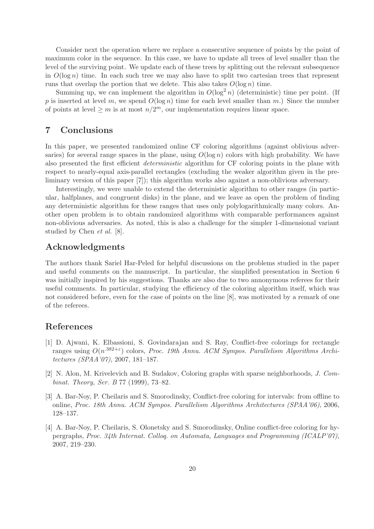Consider next the operation where we replace a consecutive sequence of points by the point of maximum color in the sequence. In this case, we have to update all trees of level smaller than the level of the surviving point. We update each of these trees by splitting out the relevant subsequence in  $O(\log n)$  time. In each such tree we may also have to split two cartesian trees that represent runs that overlap the portion that we delete. This also takes  $O(\log n)$  time.

Summing up, we can implement the algorithm in  $O(\log^2 n)$  (deterministic) time per point. (If p is inserted at level m, we spend  $O(\log n)$  time for each level smaller than m.) Since the number of points at level  $\geq m$  is at most  $n/2^m$ , our implementation requires linear space.

## 7 Conclusions

In this paper, we presented randomized online CF coloring algorithms (against oblivious adversaries) for several range spaces in the plane, using  $O(\log n)$  colors with high probability. We have also presented the first efficient deterministic algorithm for CF coloring points in the plane with respect to nearly-equal axis-parallel rectangles (excluding the weaker algorithm given in the preliminary version of this paper [7]); this algorithm works also against a non-oblivious adversary.

Interestingly, we were unable to extend the deterministic algorithm to other ranges (in particular, halfplanes, and congruent disks) in the plane, and we leave as open the problem of finding any deterministic algorithm for these ranges that uses only polylogarithmically many colors. Another open problem is to obtain randomized algorithms with comparable performances against non-oblivious adversaries. As noted, this is also a challenge for the simpler 1-dimensional variant studied by Chen et al. [8].

## Acknowledgments

The authors thank Sariel Har-Peled for helpful discussions on the problems studied in the paper and useful comments on the manuscript. In particular, the simplified presentation in Section 6 was initially inspired by his suggestions. Thanks are also due to two annonymous referees for their useful comments. In particular, studying the efficiency of the coloring algorithm itself, which was not considered before, even for the case of points on the line [8], was motivated by a remark of one of the referees.

## References

- [1] D. Ajwani, K. Elbassioni, S. Govindarajan and S. Ray, Conflict-free colorings for rectangle ranges using  $O(n^{.382+\varepsilon})$  colors, Proc. 19th Annu. ACM Sympos. Parallelism Algorithms Architectures (SPAA'07), 2007, 181–187.
- [2] N. Alon, M. Krivelevich and B. Sudakov, Coloring graphs with sparse neighborhoods, J. Combinat. Theory, Ser. B 77 (1999), 73–82.
- [3] A. Bar-Noy, P. Cheilaris and S. Smorodinsky, Conflict-free coloring for intervals: from offline to online, Proc. 18th Annu. ACM Sympos. Parallelism Algorithms Architectures (SPAA'06), 2006, 128–137.
- [4] A. Bar-Noy, P. Cheilaris, S. Olonetsky and S. Smorodinsky, Online conflict-free coloring for hypergraphs, Proc. 34th Internat. Colloq. on Automata, Languages and Programming (ICALP'07), 2007, 219–230.